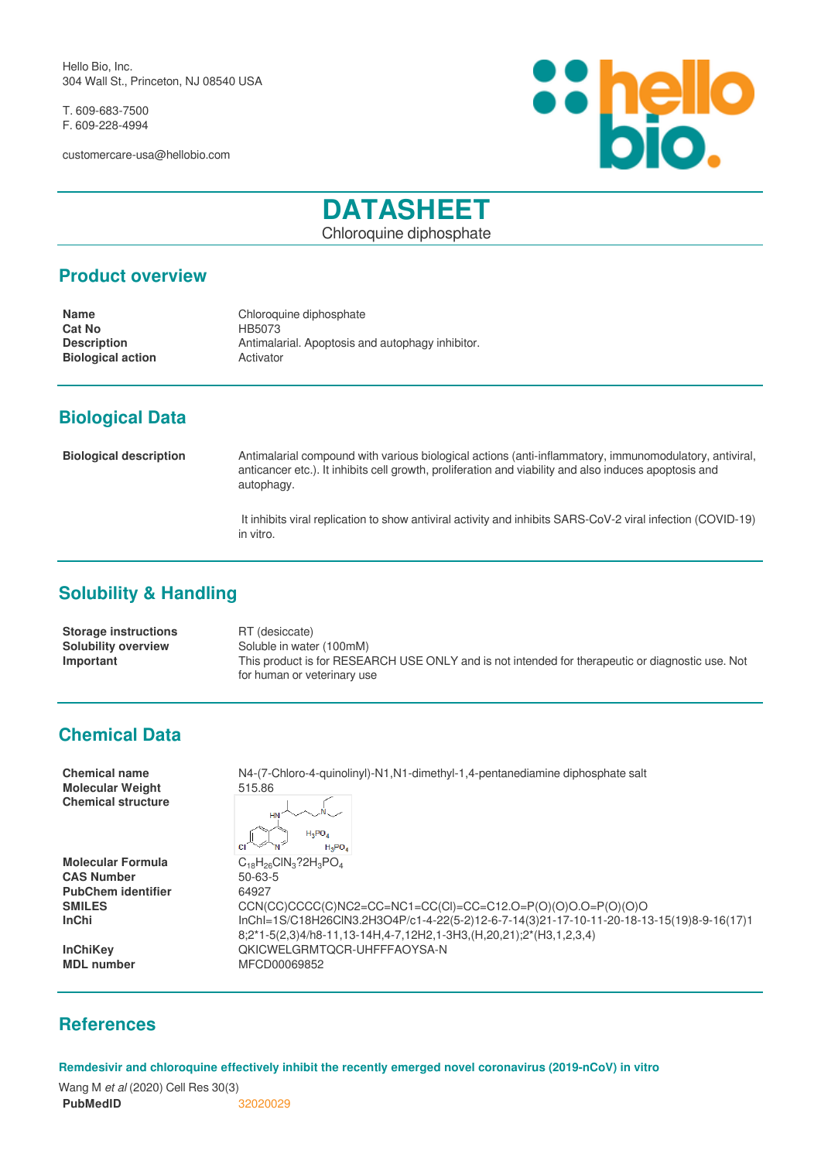Hello Bio, Inc. 304 Wall St., Princeton, NJ 08540 USA

T. 609-683-7500 F. 609-228-4994

customercare-usa@hellobio.com



# **DATASHEET**

Chloroquine diphosphate

#### **Product overview**

**Cat No** HB5073 **Biological action** 

**Name** Chloroquine diphosphate **Description Antimalarial. Apoptosis and autophagy inhibitor.**<br>**Biological action Activator** 

## **Biological Data**

**Biological description** Antimalarial compound with various biological actions (anti-inflammatory, immunomodulatory, antiviral, anticancer etc.). It inhibits cell growth, proliferation and viability and also induces apoptosis and autophagy.

> It inhibits viral replication to show antiviral activity and inhibits SARS-CoV-2 viral infection (COVID-19) in vitro.

## **Solubility & Handling**

**Storage instructions** RT (desiccate) **Solubility overview** Soluble in water (100mM) **Important** This product is for RESEARCH USE ONLY and is not intended for therapeutic or diagnostic use. Not for human or veterinary use

## **Chemical Data**

| <b>Chemical name</b><br><b>Molecular Weight</b><br><b>Chemical structure</b> | N4-(7-Chloro-4-quinolinyl)-N1,N1-dimethyl-1,4-pentanediamine diphosphate salt<br>515.86<br>$H_2PO_A$<br>$H_3PO_4$ |
|------------------------------------------------------------------------------|-------------------------------------------------------------------------------------------------------------------|
| <b>Molecular Formula</b>                                                     | $C_{18}H_{26}CH_3$ ?2H <sub>3</sub> PO <sub>4</sub>                                                               |
| <b>CAS Number</b>                                                            | $50 - 63 - 5$                                                                                                     |
| <b>PubChem identifier</b>                                                    | 64927                                                                                                             |
| <b>SMILES</b>                                                                | $CCN(CC)CCC(C)NC2=CC=NC1=CC(Cl)=CC=C12.0=P(O)(O)O.O=P(O)(O)O$                                                     |
| <b>InChi</b>                                                                 | lnChl=1S/C18H26ClN3.2H3O4P/c1-4-22(5-2)12-6-7-14(3)21-17-10-11-20-18-13-15(19)8-9-16(17)1                         |
|                                                                              | 8;2*1-5(2,3)4/h8-11,13-14H,4-7,12H2,1-3H3,(H,20,21);2*(H3,1,2,3,4)                                                |
| <b>InChiKey</b>                                                              | OKICWELGRMTOCR-UHFFFAOYSA-N                                                                                       |
| <b>MDL</b> number                                                            | MFCD00069852                                                                                                      |

#### **References**

**Remdesivir and chloroquine effectively inhibit the recently emerged novel coronavirus (2019-nCoV) in vitro**

Wang M *et al* (2020) Cell Res 30(3) **PubMedID** [32020029](https://www.ncbi.nlm.nih.gov/pubmed/32020029)